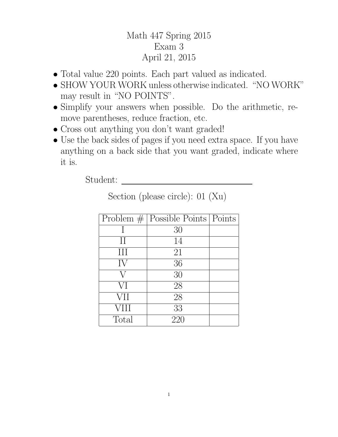## Math 447 Spring 2015 Exam 3 April 21, 2015

- Total value 220 points. Each part valued as indicated.
- SHOW YOUR WORK unless otherwise indicated. "NO WORK" may result in "NO POINTS".
- Simplify your answers when possible. Do the arithmetic, remove parentheses, reduce fraction, etc.
- Cross out anything you don't want graded!
- Use the back sides of pages if you need extra space. If you have anything on a back side that you want graded, indicate where it is.

Student:

|               | Problem $#$ Possible Points   Points |  |
|---------------|--------------------------------------|--|
|               | 30                                   |  |
| $\mathcal{I}$ | 14                                   |  |
| III           | 21                                   |  |
| IV            | 36                                   |  |
|               | 30                                   |  |
| VI            | 28                                   |  |
| <b>VII</b>    | 28                                   |  |
| <b>VIII</b>   | 33                                   |  |
| Total         | 220                                  |  |

Section (please circle): 01 (Xu)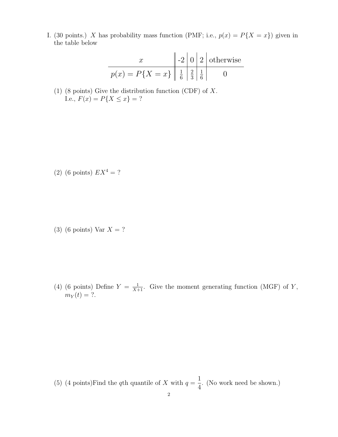I. (30 points.) X has probability mass function (PMF; i.e.,  $p(x) = P\{X = x\}$ ) given in the table below

$$
\begin{array}{c|c|c|c}\nx & -2 & 0 & 2 \text{ otherwise} \\
\hline\np(x) = P\{X = x\} & \frac{1}{6} & \frac{2}{3} & \frac{1}{6} & 0\n\end{array}
$$

(1) (8 points) Give the distribution function (CDF) of X. I.e.,  $F(x) = P\{X \le x\} = ?$ 

(2) (6 points)  $EX^4 = ?$ 

(3) (6 points) Var  $X = ?$ 

(4) (6 points) Define  $Y = \frac{1}{X+1}$ . Give the moment generating function (MGF) of Y,  $m_Y(t) = ?$ .

(5) (4 points) Find the qth quantile of X with  $q =$ 1 4 . (No work need be shown.)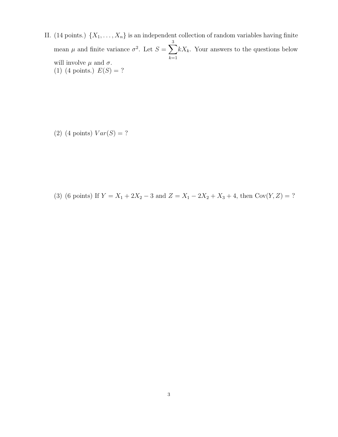II. (14 points.)  $\{X_1, \ldots, X_n\}$  is an independent collection of random variables having finite mean  $\mu$  and finite variance  $\sigma^2$ . Let  $S = \sum$ 3  $_{k=1}$  $kX_k$ . Your answers to the questions below will involve  $\mu$  and  $\sigma$ . (1) (4 points.)  $E(S) = ?$ 

(2) (4 points)  $Var(S) = ?$ 

(3) (6 points) If  $Y = X_1 + 2X_2 - 3$  and  $Z = X_1 - 2X_2 + X_3 + 4$ , then  $Cov(Y, Z) = ?$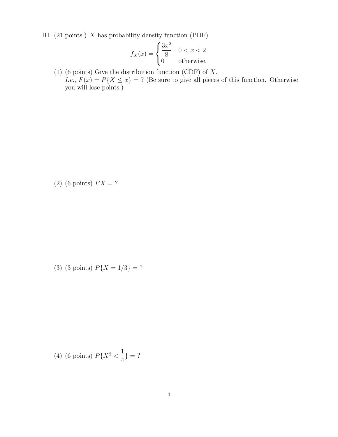III. (21 points.) X has probability density function (PDF)

$$
f_X(x) = \begin{cases} \frac{3x^2}{8} & 0 < x < 2 \\ 0 & \text{otherwise.} \end{cases}
$$

(1) (6 points) Give the distribution function (CDF) of X. I.e.,  $F(x) = P\{X \leq x\} = ?$  (Be sure to give all pieces of this function. Otherwise you will lose points.)

(2) (6 points)  $EX = ?$ 

(3) (3 points)  $P\{X = 1/3\} = ?$ 

(4) (6 points) 
$$
P\{X^2 < \frac{1}{4}\} = ?
$$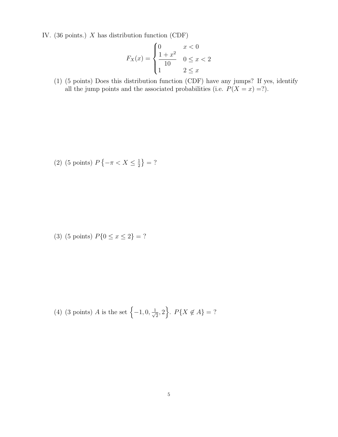IV. (36 points.) X has distribution function (CDF)

$$
F_X(x) = \begin{cases} 0 & x < 0\\ \frac{1+x^2}{10} & 0 \le x < 2\\ 1 & 2 \le x \end{cases}
$$

(1) (5 points) Does this distribution function (CDF) have any jumps? If yes, identify all the jump points and the associated probabilities (i.e.  $P(X = x) = ?$ ).

(2) (5 points) 
$$
P\{-\pi < X \leq \frac{1}{2}\} = ?
$$

(3) (5 points)  $P\{0 \le x \le 2\} = ?$ 

(4) (3 points) *A* is the set 
$$
\{-1, 0, \frac{1}{\sqrt{2}}, 2\}
$$
.  $P\{X \notin A\} = ?$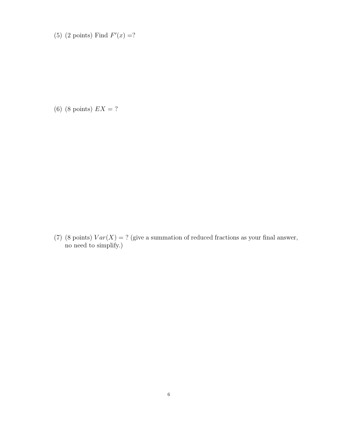(5) (2 points) Find  $F'(x) = ?$ 

(6) (8 points)  $EX = ?$ 

(7) (8 points)  $Var(X) = ?$  (give a summation of reduced fractions as your final answer, no need to simplify.)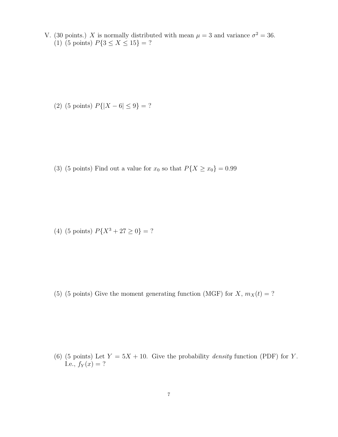V. (30 points.) X is normally distributed with mean  $\mu = 3$  and variance  $\sigma^2 = 36$ . (1) (5 points)  $P\{3 \le X \le 15\} = ?$ 

(2) (5 points)  $P\{|X - 6| \le 9\} = ?$ 

(3) (5 points) Find out a value for  $x_0$  so that  $P\{X \ge x_0\} = 0.99$ 

(4) (5 points)  $P\{X^3 + 27 \ge 0\} = ?$ 

(5) (5 points) Give the moment generating function (MGF) for  $X, m_X(t) = ?$ 

(6) (5 points) Let  $Y = 5X + 10$ . Give the probability *density* function (PDF) for Y. I.e.,  $f_Y(x) = ?$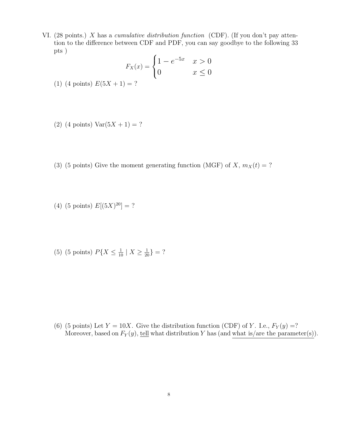VI. (28 points.) X has a cumulative distribution function (CDF). (If you don't pay attention to the difference between CDF and PDF, you can say goodbye to the following 33 pts )

$$
F_X(x) = \begin{cases} 1 - e^{-5x} & x > 0 \\ 0 & x \le 0 \end{cases}
$$

- (1) (4 points)  $E(5X + 1) = ?$
- (2) (4 points)  $Var(5X + 1) = ?$
- (3) (5 points) Give the moment generating function (MGF) of X,  $m_X(t) = ?$
- (4) (5 points)  $E[(5X)^{20}] = ?$
- (5) (5 points)  $P\{X \leq \frac{1}{10} \mid X \geq \frac{1}{20}\} = ?$

(6) (5 points) Let  $Y = 10X$ . Give the distribution function (CDF) of Y. I.e.,  $F_Y(y) = ?$ Moreover, based on  $F_Y(y)$ , tell what distribution Y has (and what is/are the parameter(s)).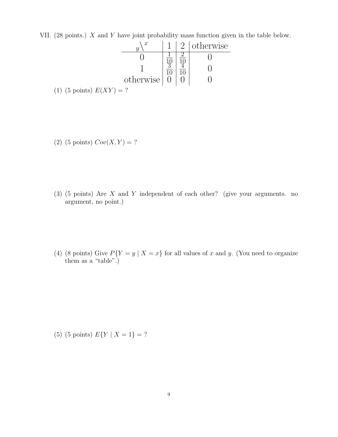VII. (28 points.)  $X$  and  $Y$  have joint probability mass function given in the table below.

|                                       |  | 2   otherwise |
|---------------------------------------|--|---------------|
|                                       |  |               |
|                                       |  |               |
| otherwise $\vert 0 \vert$             |  |               |
| $(5 \text{ points}) E(XY) = ?$<br>(1) |  |               |

(2) (5 points)  $Cov(X, Y) = ?$ 

- (3) (5 points) Are X and Y independent of each other? (give your arguments. no argument, no point.)
- (4) (8 points) Give  $P{Y = y | X = x}$  for all values of x and y. (You need to organize them as a "table".)

(5) (5 points)  $E\{Y \mid X = 1\} = ?$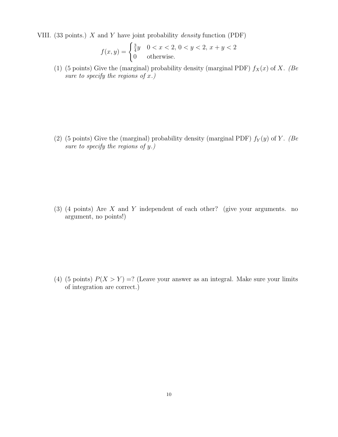VIII. (33 points.)  $X$  and  $Y$  have joint probability *density* function (PDF)

$$
f(x,y) = \begin{cases} \frac{3}{4}y & 0 < x < 2, \ 0 < y < 2, \ x + y < 2\\ 0 & \text{otherwise.} \end{cases}
$$

(1) (5 points) Give the (marginal) probability density (marginal PDF)  $f_X(x)$  of X. (Be) sure to specify the regions of  $x$ .)

(2) (5 points) Give the (marginal) probability density (marginal PDF)  $f_Y(y)$  of Y. (Be) sure to specify the regions of y.)

(3) (4 points) Are X and Y independent of each other? (give your arguments. no argument, no points!)

(4) (5 points)  $P(X > Y) =?$  (Leave your answer as an integral. Make sure your limits of integration are correct.)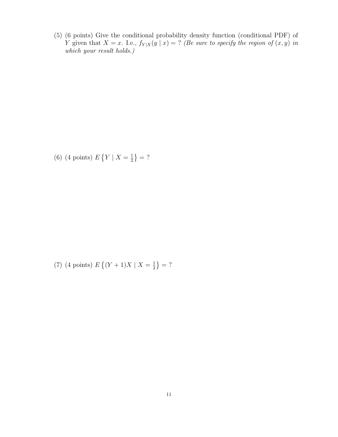(5) (6 points) Give the conditional probability density function (conditional PDF) of Y given that  $X = x$ . I.e.,  $f_{Y|X}(y | x) = ?$  (Be sure to specify the region of  $(x, y)$  in which your result holds.)

(6) (4 points)  $E \{ Y \mid X = \frac{1}{2} \}$  $\frac{1}{2}$ } = ?

(7) (4 points)  $E\{(Y+1)X \mid X=\frac{1}{2}\}$  $\frac{1}{2}$ } = ?